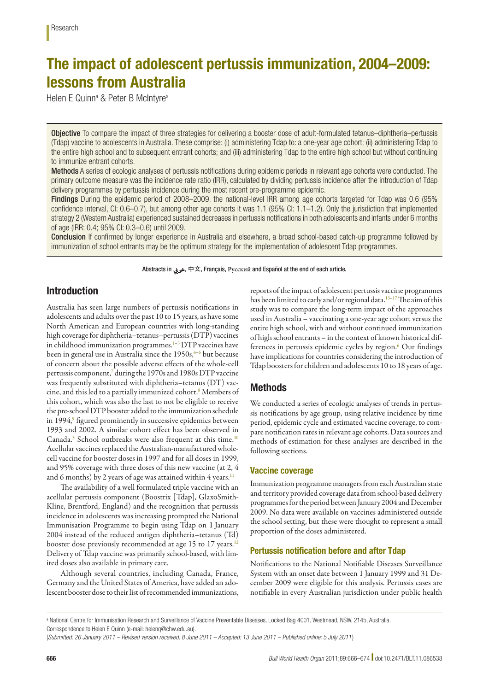# The impact of adolescent pertussis immunization, 2004–2009: lessons from Australia

Helen E Quinn<sup>a</sup> & Peter B McIntyre<sup>a</sup>

Objective To compare the impact of three strategies for delivering a booster dose of adult-formulated tetanus–diphtheria–pertussis (Tdap) vaccine to adolescents in Australia. These comprise: (i) administering Tdap to: a one-year age cohort; (ii) administering Tdap to the entire high school and to subsequent entrant cohorts; and (iii) administering Tdap to the entire high school but without continuing to immunize entrant cohorts.

Methods A series of ecologic analyses of pertussis notifications during epidemic periods in relevant age cohorts were conducted. The primary outcome measure was the incidence rate ratio (IRR), calculated by dividing pertussis incidence after the introduction of Tdap delivery programmes by pertussis incidence during the most recent pre-programme epidemic.

Findings During the epidemic period of 2008–2009, the national-level IRR among age cohorts targeted for Tdap was 0.6 (95% confidence interval, CI: 0.6–0.7), but among other age cohorts it was 1.1 (95% CI: 1.1–1.2). Only the jurisdiction that implemented strategy 2 (Western Australia) experienced sustained decreases in pertussis notifications in both adolescents and infants under 6 months of age (IRR: 0.4; 95% CI: 0.3–0.6) until 2009.

Conclusion If confirmed by longer experience in Australia and elsewhere, a broad school-based catch-up programme followed by immunization of school entrants may be the optimum strategy for the implementation of adolescent Tdap programmes.

Abstracts in عريب, 中文, Français, **Pусский** and Español at the end of each article.

# Introduction

Australia has seen large numbers of pertussis notifications in adolescents and adults over the past 10 to 15 years, as have some North American and European countries with long-standing high coverage for diphtheria–tetanus–pertussis (DTP) vaccines in childhood immunization programmes.<sup>1[–3](#page-7-1)</sup> DTP vaccines have been in general use in Australia since the 1950s,<sup>4-[6](#page-7-3)</sup> but because of concern about the possible adverse effects of the whole-cell pertussis component[,7](#page-7-4) during the 1970s and 1980s DTP vaccine was frequently substituted with diphtheria–tetanus (DT) vaccine, and this led to a partially immunized cohort.<sup>8</sup> Members of this cohort, which was also the last to not be eligible to receive the pre-school DTP booster added to the immunization schedule in 1[9](#page-7-6)94,<sup>9</sup> figured prominently in successive epidemics between 1993 and 2002. A similar cohort effect has been observed in Canada.<sup>3</sup> School outbreaks were also frequent at this time.<sup>[10](#page-7-7)</sup> Acellular vaccines replaced the Australian-manufactured wholecell vaccine for booster doses in 1997 and for all doses in 1999, and 95% coverage with three doses of this new vaccine (at 2, 4 and 6 months) by 2 years of age was attained within 4 years.<sup>[11](#page-7-8)</sup>

The availability of a well formulated triple vaccine with an acellular pertussis component (Boostrix [Tdap], GlaxoSmith-Kline, Brentford, England) and the recognition that pertussis incidence in adolescents was increasing prompted the National Immunisation Programme to begin using Tdap on 1 January 2004 instead of the reduced antigen diphtheria–tetanus (Td) booster dose previously recommended at age 15 to 17 years.<sup>[12](#page-7-9)</sup> Delivery of Tdap vaccine was primarily school-based, with limited doses also available in primary care.

Although several countries, including Canada, France, Germany and the United States of America, have added an adolescent booster dose to their list of recommended immunizations,

reports of the impact of adolescent pertussis vaccine programmes has been limited to early and/or regional data.<sup>13-17</sup> The aim of this study was to compare the long-term impact of the approaches used in Australia – vaccinating a one-year age cohort versus the entire high school, with and without continued immunization of high school entrants – in the context of known historical differences in pertussis epidemic cycles by region.<sup>6</sup> Our findings have implications for countries considering the introduction of Tdap boosters for children and adolescents 10 to 18 years of age.

# Methods

We conducted a series of ecologic analyses of trends in pertussis notifications by age group, using relative incidence by time period, epidemic cycle and estimated vaccine coverage, to compare notification rates in relevant age cohorts. Data sources and methods of estimation for these analyses are described in the following sections.

# Vaccine coverage

Immunization programme managers from each Australian state and territory provided coverage data from school-based delivery programmes for the period between January 2004 and December 2009. No data were available on vaccines administered outside the school setting, but these were thought to represent a small proportion of the doses administered.

# Pertussis notification before and after Tdap

Notifications to the National Notifiable Diseases Surveillance System with an onset date between 1 January 1999 and 31 December 2009 were eligible for this analysis. Pertussis cases are notifiable in every Australian jurisdiction under public health

a National Centre for Immunisation Research and Surveillance of Vaccine Preventable Diseases, Locked Bag 4001, Westmead, NSW, 2145, Australia. Correspondence to Helen E Quinn (e-mail: helenq@chw.edu.au).

<sup>(</sup>*Submitted: 26 January 2011 – Revised version received: 8 June 2011 – Accepted: 13 June 2011 – Published online: 5 July 2011* )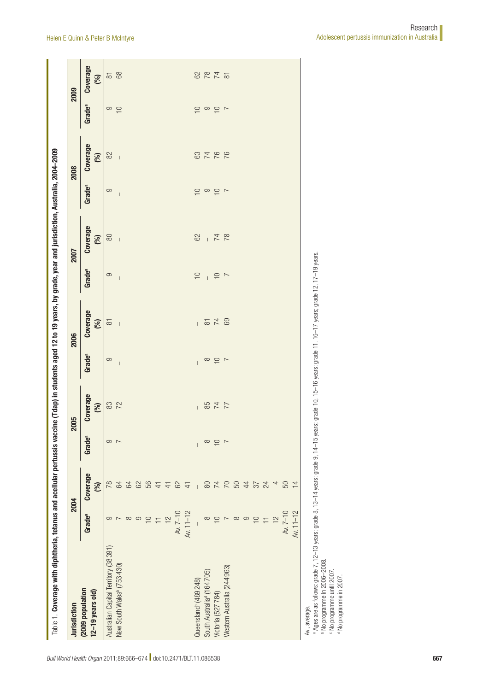| Coverage<br>3766<br>82<br>(%)<br>$\overline{\phantom{a}}$<br>2008<br>Grade <sup>a</sup><br>$\circ$<br>$\frac{1}{2}$ $\frac{1}{2}$ $\frac{1}{2}$ $\frac{1}{2}$ $\frac{1}{2}$ $\frac{1}{2}$ $\frac{1}{2}$ $\frac{1}{2}$ $\frac{1}{2}$ $\frac{1}{2}$ $\frac{1}{2}$ $\frac{1}{2}$ $\frac{1}{2}$ $\frac{1}{2}$ $\frac{1}{2}$ $\frac{1}{2}$ $\frac{1}{2}$ $\frac{1}{2}$ $\frac{1}{2}$ $\frac{1}{2}$ $\frac{1}{2}$ $\frac{1}{2}$<br>$\overline{\phantom{a}}$<br><b>Coverage</b> |
|--------------------------------------------------------------------------------------------------------------------------------------------------------------------------------------------------------------------------------------------------------------------------------------------------------------------------------------------------------------------------------------------------------------------------------------------------------------------------|
|                                                                                                                                                                                                                                                                                                                                                                                                                                                                          |
|                                                                                                                                                                                                                                                                                                                                                                                                                                                                          |

<span id="page-1-0"></span>

Av., average.<br><sup>a</sup> Ages are a<br><sup>b</sup> No program<br><sup>c</sup> No program A Ages are as follows: grade 7, 12–13 years; grade 8, 13–14 years; grade 9, 14–15 years; grade 10, 15–16 years; grade 17, 16–17 years; grade 12, 17–19 years.<br>No programme in 2006–2008.

 No programme until 2007. No programme in 2007.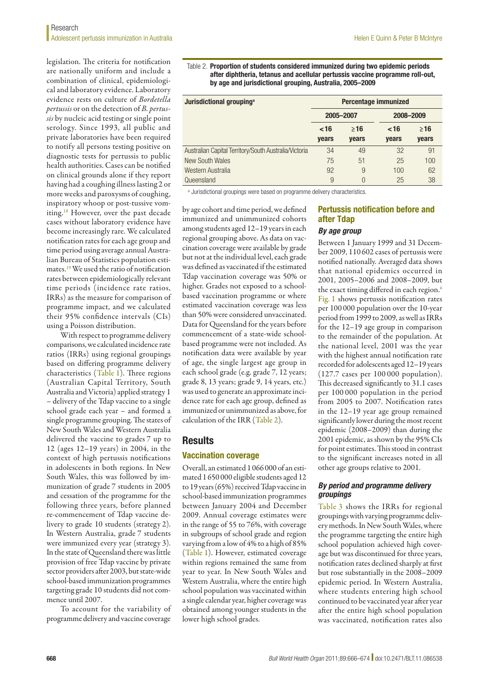legislation. The criteria for notification are nationally uniform and include a combination of clinical, epidemiological and laboratory evidence. Laboratory evidence rests on culture of *Bordetella pertussis* or on the detection of *B. pertussis* by nucleic acid testing or single point serology. Since 1993, all public and private laboratories have been required to notify all persons testing positive on diagnostic tests for pertussis to public health authorities. Cases can be notified on clinical grounds alone if they report having had a coughing illness lasting 2 or more weeks and paroxysms of coughing, inspiratory whoop or post-tussive vomiting.<sup>18</sup> However, over the past decade cases without laboratory evidence have become increasingly rare. We calculated notification rates for each age group and time period using average annual Australian Bureau of Statistics population estimates.[19](#page-8-1) We used the ratio of notification rates between epidemiologically relevant time periods (incidence rate ratios, IRRs) as the measure for comparison of programme impact, and we calculated their 95% confidence intervals (CIs) using a Poisson distribution.

With respect to programme delivery comparisons, we calculated incidence rate ratios (IRRs) using regional groupings based on differing programme delivery characteristics ([Table](#page-1-0) 1). Three regions (Australian Capital Territory, South Australia and Victoria) applied strategy 1 – delivery of the Tdap vaccine to a single school grade each year – and formed a single programme grouping. The states of New South Wales and Western Australia delivered the vaccine to grades 7 up to 12 (ages 12–19 years) in 2004, in the context of high pertussis notifications in adolescents in both regions. In New South Wales, this was followed by immunization of grade 7 students in 2005 and cessation of the programme for the following three years, before planned re-commencement of Tdap vaccine delivery to grade 10 students (strategy 2). In Western Australia, grade 7 students were immunized every year (strategy 3). In the state of Queensland there was little provision of free Tdap vaccine by private sector providers after 2003, but state-wide school-based immunization programmes targeting grade 10 students did not commence until 2007.

To account for the variability of programme delivery and vaccine coverage

<span id="page-2-0"></span>Table 2. Proportion of students considered immunized during two epidemic periods after diphtheria, tetanus and acellular pertussis vaccine programme roll-out, by age and jurisdictional grouping, Australia, 2005–2009

| Jurisdictional grouping <sup>a</sup>                  | Percentage immunized |              |           |              |
|-------------------------------------------------------|----------------------|--------------|-----------|--------------|
|                                                       | 2005-2007            |              | 2008-2009 |              |
|                                                       | ~16                  | $\geq 16$    | ~16       | ≥16          |
|                                                       | <b>vears</b>         | <b>vears</b> | years     | <b>vears</b> |
| Australian Capital Territory/South Australia/Victoria | 34                   | 49           | 32        | 91           |
| <b>New South Wales</b>                                | 75                   | 51           | 25        | 100          |
| Western Australia                                     | 92                   | 9            | 100       | 62           |
| Queensland                                            | 9                    | $\Omega$     | 25        | 38           |

a Jurisdictional groupings were based on programme delivery characteristics.

by age cohort and time period, we defined immunized and unimmunized cohorts among students aged 12–19 years in each regional grouping above. As data on vaccination coverage were available by grade but not at the individual level, each grade was defined as vaccinated if the estimated Tdap vaccination coverage was 50% or higher. Grades not exposed to a schoolbased vaccination programme or where estimated vaccination coverage was less than 50% were considered unvaccinated. Data for Queensland for the years before commencement of a state-wide schoolbased programme were not included. As notification data were available by year of age, the single largest age group in each school grade (e.g. grade 7, 12 years; grade 8, 13 years; grade 9, 14 years, etc.) was used to generate an approximate incidence rate for each age group, defined as immunized or unimmunized as above, for calculation of the IRR ([Table](#page-2-0) 2).

### **Results**

### Vaccination coverage

Overall, an estimated 1066000 of an estimated 1650000 eligible students aged 12 to 19 years (65%) received Tdap vaccine in school-based immunization programmes between January 2004 and December 2009. Annual coverage estimates were in the range of 55 to 76%, with coverage in subgroups of school grade and region varying from a low of 4% to a high of 85% ([Table](#page-1-0) 1). However, estimated coverage within regions remained the same from year to year. In New South Wales and Western Australia, where the entire high school population was vaccinated within a single calendar year, higher coverage was obtained among younger students in the lower high school grades.

# Pertussis notification before and after Tdap

# *By age group*

Between 1 January 1999 and 31 December 2009, 110 602 cases of pertussis were notified nationally. Averaged data shows that national epidemics occurred in 2001, 2005–2006 and 2008–2009, but the exact timing differed in each region.<sup>[6](#page-7-3)</sup> [Fig.](#page-3-0) 1 shows pertussis notification rates per 100 000 population over the 10-year period from 1999 to 2009, as well as IRRs for the 12–19 age group in comparison to the remainder of the population. At the national level, 2001 was the year with the highest annual notification rate recorded for adolescents aged 12–19 years (127.7 cases per 100 000 population). This decreased significantly to 31.1 cases per 100 000 population in the period from 2005 to 2007. Notification rates in the 12–19 year age group remained significantly lower during the most recent epidemic (2008–2009) than during the 2001 epidemic, as shown by the 95% CIs for point estimates. This stood in contrast to the significant increases noted in all other age groups relative to 2001.

#### *By period and programme delivery groupings*

[Table](#page-3-1) 3 shows the IRRs for regional groupings with varying programme delivery methods. In New South Wales, where the programme targeting the entire high school population achieved high coverage but was discontinued for three years, notification rates declined sharply at first but rose substantially in the 2008–2009 epidemic period. In Western Australia, where students entering high school continued to be vaccinated year after year after the entire high school population was vaccinated, notification rates also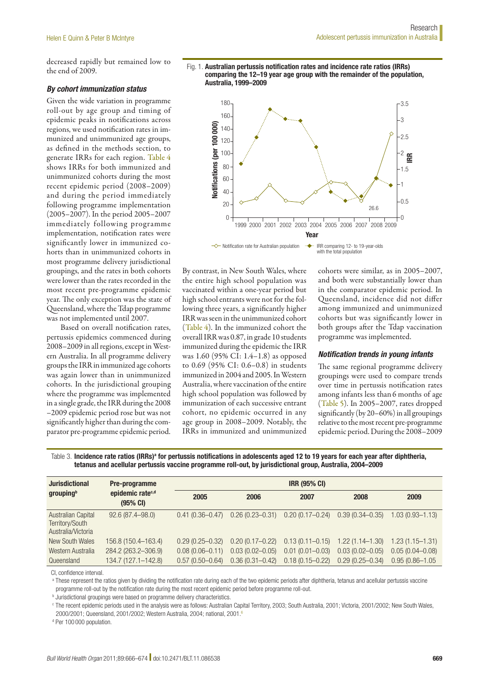decreased rapidly but remained low to the end of 2009.

### *By cohort immunization status*

Given the wide variation in programme roll-out by age group and timing of epidemic peaks in notifications across regions, we used notification rates in immunized and unimmunized age groups, as defined in the methods section, to generate IRRs for each region. [Table](#page-4-0) 4 shows IRRs for both immunized and unimmunized cohorts during the most recent epidemic period (2008–2009) and during the period immediately following programme implementation (2005–2007). In the period 2005–2007 immediately following programme implementation, notification rates were significantly lower in immunized cohorts than in unimmunized cohorts in most programme delivery jurisdictional groupings, and the rates in both cohorts were lower than the rates recorded in the most recent pre-programme epidemic year. The only exception was the state of Queensland, where the Tdap programme was not implemented until 2007.

Based on overall notification rates, pertussis epidemics commenced during 2008–2009 in all regions, except in Western Australia. In all programme delivery groups the IRR in immunized age cohorts was again lower than in unimmunized cohorts. In the jurisdictional grouping where the programme was implemented in a single grade, the IRR during the 2008 –2009 epidemic period rose but was not significantly higher than during the comparator pre-programme epidemic period.

<span id="page-3-0"></span>



By contrast, in New South Wales, where the entire high school population was vaccinated within a one-year period but high school entrants were not for the following three years, a significantly higher IRR was seen in the unimmunized cohort ([Table](#page-4-0) 4). In the immunized cohort the overall IRR was 0.87, in grade 10 students immunized during the epidemic the IRR was 1.60 (95% CI: 1.4–1.8) as opposed to 0.69 (95% CI: 0.6–0.8) in students immunized in 2004 and 2005. In Western Australia, where vaccination of the entire high school population was followed by immunization of each successive entrant cohort, no epidemic occurred in any age group in 2008–2009. Notably, the IRRs in immunized and unimmunized

cohorts were similar, as in 2005–2007, and both were substantially lower than in the comparator epidemic period. In Queensland, incidence did not differ among immunized and unimmunized cohorts but was significantly lower in both groups after the Tdap vaccination programme was implemented.

### *Notification trends in young infants*

The same regional programme delivery groupings were used to compare trends over time in pertussis notification rates among infants less than 6 months of age ([Table](#page-4-1) 5). In 2005–2007, rates dropped significantly (by 20–60%) in all groupings relative to the most recent pre-programme epidemic period. During the 2008–2009

<span id="page-3-1"></span>Table 3. Incidence rate ratios (IRRs)ª for pertussis notifications in adolescents aged 12 to 19 years for each year after diphtheria, tetanus and acellular pertussis vaccine programme roll-out, by jurisdictional group, Australia, 2004–2009

| <b>Jurisdictional</b><br>grouping <sup>b</sup>              | Pre-programme<br>epidemic rate <sup>c,d</sup><br>(95% CI) | <b>IRR (95% CI)</b> |                     |                     |                     |                     |  |
|-------------------------------------------------------------|-----------------------------------------------------------|---------------------|---------------------|---------------------|---------------------|---------------------|--|
|                                                             |                                                           | 2005                | 2006                | 2007                | 2008                | 2009                |  |
| Australian Capital<br>Territory/South<br>Australia/Victoria | $92.6(87.4 - 98.0)$                                       | $0.41(0.36 - 0.47)$ | $0.26(0.23 - 0.31)$ | $0.20(0.17 - 0.24)$ | $0.39(0.34 - 0.35)$ | $1.03(0.93 - 1.13)$ |  |
| New South Wales                                             | 156.8 (150.4-163.4)                                       | $0.29(0.25 - 0.32)$ | $0.20(0.17 - 0.22)$ | $0.13(0.11 - 0.15)$ | $1.22(1.14 - 1.30)$ | $1.23(1.15 - 1.31)$ |  |
| Western Australia                                           | 284.2 (263.2-306.9)                                       | $0.08(0.06 - 0.11)$ | $0.03(0.02 - 0.05)$ | $0.01(0.01 - 0.03)$ | $0.03(0.02 - 0.05)$ | $0.05(0.04 - 0.08)$ |  |
| Queensland                                                  | 134.7 (127.1-142.8)                                       | $0.57(0.50 - 0.64)$ | $0.36(0.31 - 0.42)$ | $0.18(0.15 - 0.22)$ | $0.29(0.25 - 0.34)$ | $0.95(0.86 - 1.05)$ |  |

CI, confidence interval.

a These represent the ratios given by dividing the notification rate during each of the two epidemic periods after diphtheria, tetanus and acellular pertussis vaccine programme roll-out by the notification rate during the most recent epidemic period before programme roll-out.

**b** Jurisdictional groupings were based on programme delivery characteristics.

<sup>c</sup> The recent epidemic periods used in the analysis were as follows: Australian Capital Territory, 2003; South Australia, 2001; Victoria, 2001/2002; New South Wales, 2000/2001; Queensland, 2001/2002; Western Australia, 2004; national, 2001.[6](#page-7-3)

<sup>d</sup> Per 100 000 population.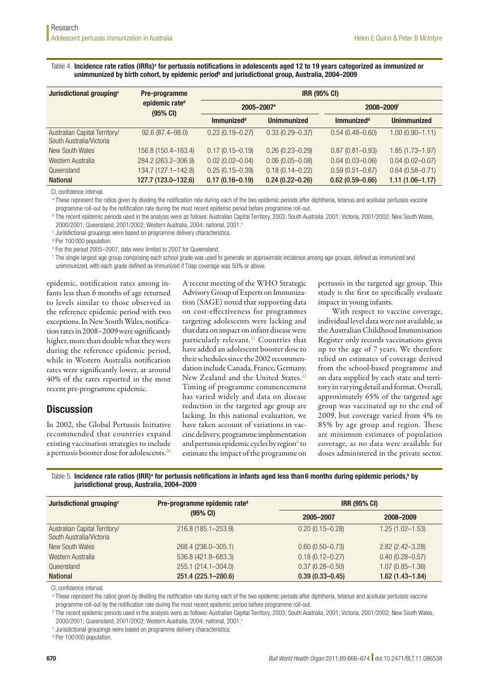<span id="page-4-0"></span>Table 4. Incidence rate ratios (IRRs)ª for pertussis notifications in adolescents aged 12 to 19 years categorized as immunized or unimmunized by birth cohort, by epidemic period<sup>b</sup> and jurisdictional group, Australia, 2004–2009

| Jurisdictional grouping <sup>c</sup>                      | Pre-programme<br>epidemic rate <sup>d</sup><br>(95% CI) | <b>IRR (95% CI)</b>    |                     |                        |                     |  |
|-----------------------------------------------------------|---------------------------------------------------------|------------------------|---------------------|------------------------|---------------------|--|
|                                                           |                                                         | 2005-2007 <sup>e</sup> |                     | 2008-2009 <sup>f</sup> |                     |  |
|                                                           |                                                         | <b>Immunizedd</b>      | <b>Unimmunized</b>  | <b>Immunizedd</b>      | <b>Unimmunized</b>  |  |
| Australian Capital Territory/<br>South Australia/Victoria | $92.6(87.4 - 98.0)$                                     | $0.23(0.19 - 0.27)$    | $0.33(0.29 - 0.37)$ | $0.54(0.48 - 0.60)$    | $1.00(0.90 - 1.11)$ |  |
| New South Wales                                           | 156.8 (150.4-163.4)                                     | $0.17(0.15 - 0.19)$    | $0.26(0.23 - 0.29)$ | $0.87(0.81 - 0.93)$    | $1.85(1.73 - 1.97)$ |  |
| Western Australia                                         | 284.2 (263.2-306.9)                                     | $0.02(0.02 - 0.04)$    | $0.06(0.05 - 0.08)$ | $0.04(0.03 - 0.06)$    | $0.04(0.02 - 0.07)$ |  |
| Queensland                                                | 134.7 (127.1-142.8)                                     | $0.25(0.15 - 0.39)$    | $0.18(0.14 - 0.22)$ | $0.59(0.51 - 0.67)$    | $0.64(0.58 - 0.71)$ |  |
| <b>National</b>                                           | 127.7 (123.0-132.6)                                     | $0.17(0.16 - 0.19)$    | $0.24(0.22 - 0.26)$ | $0.62(0.59 - 0.66)$    | $1.11(1.06 - 1.17)$ |  |

CI, confidence interval.

a These represent the ratios given by dividing the notification rate during each of the two epidemic periods after diphtheria, tetanus and acellular pertussis vaccine programme roll-out by the notification rate during the most recent epidemic period before programme roll-out.

<sup>b</sup> The recent epidemic periods used in the analysis were as follows: Australian Capital Territory, 2003; South Australia, 2001; Victoria, 2001/2002; New South Wales, 2000/2001; Queensland, 2001/2002; Western Australia, 2004; national, 2001.[6](#page-7-3)

 $^{\circ}$  Jurisdictional groupings were based on programme delivery characteristics.

<sup>d</sup> Per 100 000 population.

<sup>e</sup> For the period 2005–2007, data were limited to 2007 for Queensland.

<sup>f</sup> The single largest age group comprising each school grade was used to generate an approximate incidence among age groups, defined as immunized and unimmunized, with each grade defined as immunized if Tdap coverage was 50% or above.

epidemic, notification rates among infants less than 6 months of age returned to levels similar to those observed in the reference epidemic period with two exceptions. In New South Wales, notification rates in 2008–2009 were significantly higher, more than double what they were during the reference epidemic period, while in Western Australia notification rates were significantly lower, at around 40% of the rates reported in the most recent pre-programme epidemic.

# **Discussion**

In 2002, the Global Pertussis Initiative recommended that countries expand existing vaccination strategies to include a pertussis booster dose for adolescents[.20](#page-8-2)

A recent meeting of the WHO Strategic Advisory Group of Experts on Immunization (SAGE) noted that supporting data on cost-effectiveness for programmes targeting adolescents were lacking and that data on impact on infant disease were particularly relevant.<sup>[21](#page-8-3)</sup> Countries that have added an adolescent booster dose to their schedules since the 2002 recommendation include Canada, France, Germany, New Zealand and the United States.<sup>2</sup> Timing of programme commencement has varied widely and data on disease reduction in the targeted age group are lacking. In this national evaluation, we have taken account of variations in vaccine delivery, programme implementation and pertussis epidemic cycles by region<sup>6</sup> to estimate the impact of the programme on

pertussis in the targeted age group. This study is the first to specifically evaluate impact in young infants.

With respect to vaccine coverage, individual level data were not available, as the Australian Childhood Immunisation Register only records vaccinations given up to the age of 7 years. We therefore relied on estimates of coverage derived from the school-based programme and on data supplied by each state and territory in varying detail and format. Overall, approximately 65% of the targeted age group was vaccinated up to the end of 2009, but coverage varied from 4% to 85% by age group and region. These are minimum estimates of population coverage, as no data were available for doses administered in the private sector.

<span id="page-4-1"></span>Table 5. Incidence rate ratios (IRR)ª for pertussis notifications in infants aged less than6 months during epidemic periods,<sup>b</sup> by jurisdictional group, Australia, 2004–2009

| Jurisdictional grouping <sup>c</sup>                      | Pre-programme epidemic rate <sup>d</sup> |                     | <b>IRR (95% CI)</b> |  |  |
|-----------------------------------------------------------|------------------------------------------|---------------------|---------------------|--|--|
|                                                           | $(95% \text{ CI})$                       | 2005-2007           | 2008-2009           |  |  |
| Australian Capital Territory/<br>South Australia/Victoria | 216.8 (185.1-253.9)                      | $0.20(0.15 - 0.28)$ | $1.25(1.02 - 1.53)$ |  |  |
| New South Wales                                           | 268.4 (236.0-305.1)                      | $0.60(0.50 - 0.73)$ | $2.82(2.42 - 3.28)$ |  |  |
| Western Australia                                         | 536.8 (421.8-683.3)                      | $0.18(0.12 - 0.27)$ | $0.40(0.28 - 0.57)$ |  |  |
| Queensland                                                | 255.1 (214.1-304.0)                      | $0.37(0.28 - 0.50)$ | $1.07(0.85 - 1.36)$ |  |  |
| <b>National</b>                                           | 251.4 (225.1-280.6)                      | $0.39(0.33 - 0.45)$ | $1.62(1.43 - 1.84)$ |  |  |

CI, confidence interval.

a These represent the ratios given by dividing the notification rate during each of the two epidemic periods after diphtheria, tetanus and acellular pertussis vaccine programme roll-out by the notification rate during the most recent epidemic period before programme roll-out.

<sup>b</sup> The recent epidemic periods used in the analysis were as follows: Australian Capital Territory, 2003; South Australia, 2001; Victoria, 2001/2002; New South Wales, 2000/2001; Queensland, 2001/2002; Western Australia, 2004; national, 2001.[6](#page-7-3)

<sup>c</sup> Jurisdictional groupings were based on programme delivery characteristics.

<sup>d</sup> Per 100 000 population.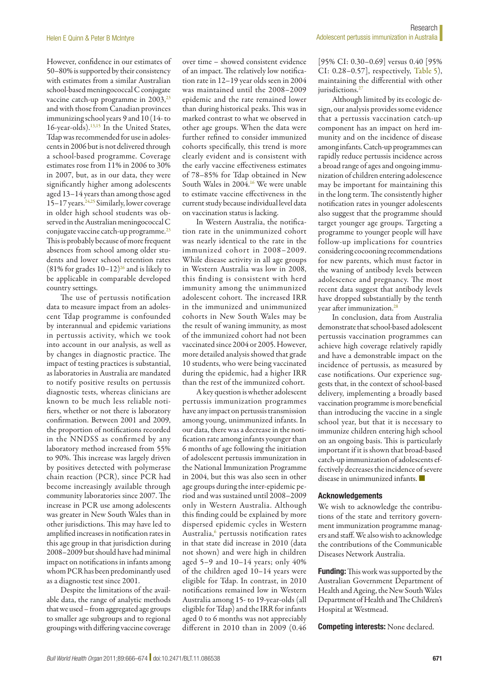However, confidence in our estimates of 50–80% is supported by their consistency with estimates from a similar Australian school-based meningococcal C conjugate vaccine catch-up programme in  $2003$ , $^{23}$ and with those from Canadian provinces immunizing school years 9 and 10 (14- to 16-year-olds).[13,](#page-7-10)[15](#page-7-12) In the United States, Tdap was recommended for use in adolescents in 2006 but is not delivered through a school-based programme. Coverage estimates rose from 11% in 2006 to 30% in 2007, but, as in our data, they were significantly higher among adolescents aged 13–14 years than among those aged 15–17 years.<sup>24,25</sup> Similarly, lower coverage in older high school students was observed in the Australian meningococcal C conjugate vaccine catch-up programme.<sup>23</sup> This is probably because of more frequent absences from school among older students and lower school retention rates (81% for grades  $10-12$ )<sup>26</sup> and is likely to be applicable in comparable developed country settings.

The use of pertussis notification data to measure impact from an adolescent Tdap programme is confounded by interannual and epidemic variations in pertussis activity, which we took into account in our analysis, as well as by changes in diagnostic practice. The impact of testing practices is substantial, as laboratories in Australia are mandated to notify positive results on pertussis diagnostic tests, whereas clinicians are known to be much less reliable notifiers, whether or not there is laboratory confirmation. Between 2001 and 2009, the proportion of notifications recorded in the NNDSS as confirmed by any laboratory method increased from 55% to 90%. This increase was largely driven by positives detected with polymerase chain reaction (PCR), since PCR had become increasingly available through community laboratories since 2007. The increase in PCR use among adolescents was greater in New South Wales than in other jurisdictions. This may have led to amplified increases in notification rates in this age group in that jurisdiction during 2008–2009 but should have had minimal impact on notifications in infants among whom PCR has been predominantly used as a diagnostic test since 2001.

Despite the limitations of the available data, the range of analytic methods that we used – from aggregated age groups to smaller age subgroups and to regional groupings with differing vaccine coverage

over time – showed consistent evidence of an impact. The relatively low notification rate in 12–19 year olds seen in 2004 was maintained until the 2008–2009 epidemic and the rate remained lower than during historical peaks. This was in marked contrast to what we observed in other age groups. When the data were further refined to consider immunized cohorts specifically, this trend is more clearly evident and is consistent with the early vaccine effectiveness estimates of 78–85% for Tdap obtained in New South Wales in 2004.<sup>16</sup> We were unable to estimate vaccine effectiveness in the current study because individual level data on vaccination status is lacking.

In Western Australia, the notification rate in the unimmunized cohort was nearly identical to the rate in the immunized cohort in 2008–2009. While disease activity in all age groups in Western Australia was low in 2008, this finding is consistent with herd immunity among the unimmunized adolescent cohort. The increased IRR in the immunized and unimmunized cohorts in New South Wales may be the result of waning immunity, as most of the immunized cohort had not been vaccinated since 2004 or 2005. However, more detailed analysis showed that grade 10 students, who were being vaccinated during the epidemic, had a higher IRR than the rest of the immunized cohort.

A key question is whether adolescent pertussis immunization programmes have any impact on pertussis transmission among young, unimmunized infants. In our data, there was a decrease in the notification rate among infants younger than 6 months of age following the initiation of adolescent pertussis immunization in the National Immunization Programme in 2004, but this was also seen in other age groups during the inter-epidemic period and was sustained until 2008–2009 only in Western Australia. Although this finding could be explained by more dispersed epidemic cycles in Western Australia,<sup>[6](#page-7-3)</sup> pertussis notification rates in that state did increase in 2010 (data not shown) and were high in children aged 5–9 and 10–14 years; only 40% of the children aged 10–14 years were eligible for Tdap. In contrast, in 2010 notifications remained low in Western Australia among 15- to 19-year-olds (all eligible for Tdap) and the IRR for infants aged 0 to 6 months was not appreciably different in 2010 than in 2009 (0.46

[95% CI: 0.30–0.69] versus 0.40 [95% CI: 0.28–0.57], respectively, [Table](#page-4-1) 5), maintaining the differential with other jurisdictions.<sup>[27](#page-8-9)</sup>

Although limited by its ecologic design, our analysis provides some evidence that a pertussis vaccination catch-up component has an impact on herd immunity and on the incidence of disease among infants. Catch-up programmes can rapidly reduce pertussis incidence across a broad range of ages and ongoing immunization of children entering adolescence may be important for maintaining this in the long term. The consistently higher notification rates in younger adolescents also suggest that the programme should target younger age groups. Targeting a programme to younger people will have follow-up implications for countries considering cocooning recommendations for new parents, which must factor in the waning of antibody levels between adolescence and pregnancy. The most recent data suggest that antibody levels have dropped substantially by the tenth year after immunization.<sup>28</sup>

In conclusion, data from Australia demonstrate that school-based adolescent pertussis vaccination programmes can achieve high coverage relatively rapidly and have a demonstrable impact on the incidence of pertussis, as measured by case notifications. Our experience suggests that, in the context of school-based delivery, implementing a broadly based vaccination programme is more beneficial than introducing the vaccine in a single school year, but that it is necessary to immunize children entering high school on an ongoing basis. This is particularly important if it is shown that broad-based catch-up immunization of adolescents effectively decreases the incidence of severe disease in unimmunized infants. ■

#### Acknowledgements

We wish to acknowledge the contributions of the state and territory government immunization programme managers and staff. We also wish to acknowledge the contributions of the Communicable Diseases Network Australia.

Funding: This work was supported by the Australian Government Department of Health and Ageing, the New South Wales Department of Health and The Children's Hospital at Westmead.

Competing interests: None declared.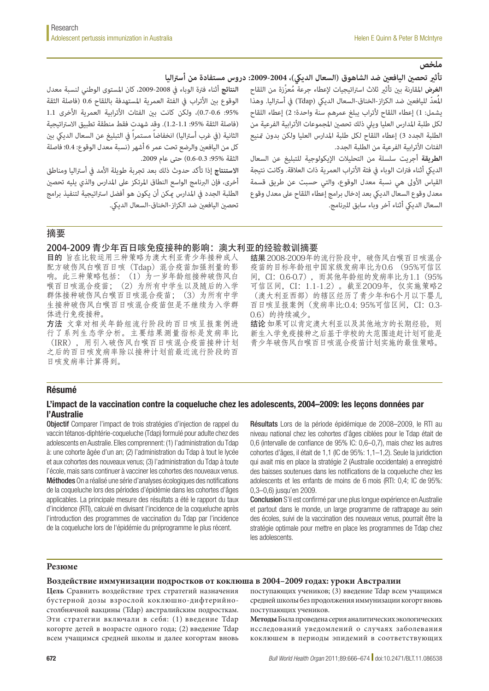الفئات الأترابية الفرعية من الطلبة الجدد.

السعال الديكي أثناء آخر وباء سابق للبرنامج.

# **ملخص**

تأثير تحصين اليافعين ضد الشاهوق (السعال الديكي)، 2004-2009: دروس مستفادة من أستراليا

**النتائج** أثناء فرتة الوباء يف ،2009-2008 كان املستوى الوطني لنسبة معدل الوقوع بين الأتراب في الفئة العمرية المستهدفة باللقاح 0.6 (فاصلة الثقة :95%: 0.7-0.6)، ولكن كانت بن الفئات الأترابية العمرية الأخرى 1.1 (فاصلة الثقة %95: 1.1-1.2). وقد شهدت فقط منطقة تطبيق الاستراتيجية الثانية (في غرب أستراليا) انخفاضاً مستمراً في التبليغ عن السعال الديكي بن كل من اليافعين والرضع تحت عمر 6 أشهر (نسبة معدل الوقوع: 0.4؛ فاصلة الثقة %95: 0.3-0.6) حتى عام 2009.

**االستنتاج** إذا تأكد حدوث ذلك بعد تجربة طويلة األمد يف أسرتاليا ومناطق أخرى، فإن الربنامج الواسع النطاق املرتكز عىل املدارس والذي يليه تحصني الطلبة الجدد يف املدارس ميكن أن يكون هو أفضل اسرتاتيجية لتنفيذ برامج تحصني اليافعني ضد الكزاز-الخناق-السعال الدييك.

摘要

### 2004-2009 青少年百日咳免疫接种的影响:澳大利亚的经验教训摘要

目的 旨在比较运用三种策略为澳大利亚青少年接种成人 配方破伤风白喉百日咳(Tdap)混合疫苗加强剂量的影 响。此三种策略包括:(1)为一岁年龄组接种破伤风白 喉百日咳混合疫苗;(2)为所有中学生以及随后的入学 群体接种破伤风白喉百日咳混合疫苗;(3)为所有中学 生接种破伤风白喉百日咳混合疫苗但是不继续为入学群 体进行免疫接种。

方法 文章对相关年龄组流行阶段的百日咳呈报案例进 行了系列生态学分析。主要结果测量指标是发病率比 (IRR),用引入破伤风白喉百日咳混合疫苗接种计划 之后的百日咳发病率除以接种计划前最近流行阶段的百 日咳发病率计算得到。

结果 2008-2009年的流行阶段中,破伤风白喉百日咳混合 疫苗的目标年龄组中国家级发病率比为0.6 (95%可信区 间,CI:0.6-0.7),而其他年龄组的发病率比为1.1(95% 可信区间,CI:1.1-1.2)。截至2009年,仅实施策略2 (澳大利亚西部)的辖区经历了青少年和6个月以下婴儿 百日咳呈报案例(发病率比:0.4; 95%可信区间, CI: 0.3-

ا**لغرض** المقارنة بن تأثر ثلاث استراتيجيات لاعطاء جرعة مُعزِّزة من اللقاح المُعدّ لليافعين ضد الكزاز-الخناق-السعال الديكى (Tdap) في أستراليا. وهذا يشمل: 1) إعطاء اللقاح لأتراب يبلغ عمرهم سنة واحدة؛ 2) إعطاء اللقاح لكل طلبة املدارس العليا وييل ذلك تحصني املجموعات األترابية الفرعية من الطلبة الجدد 3) إعطاء اللقاح لكل طلبة المدارس العليا ولكن بدون تمنيع

**الطريقة** أجريت سلسلة من التحليالت اإليكولوجية للتبليغ عن السعال الديكي أثناء فترات الوباء في فئة الأتراب العمرية ذات العلاقة. وكانت نتيجة القياس الأولى هي نسبة معدل الوقوع، والتي حسبت عن طريق قسمة معدل وقوع السعال الدييك بعد إدخال برامج إعطاء اللقاح عىل معدل وقوع

0.6) 的持续减少。 结论如果可以肯定澳大利亚以及其他地方的长期经验, 则 新生入学免疫接种之后基于学校的大范围追赶计划可能是 青少年破伤风白喉百日咳混合疫苗计划实施的最佳策略。

### Résumé

### L'impact de la vaccination contre la coqueluche chez les adolescents, 2004–2009: les leçons données par l'Australie

Objectif Comparer l'impact de trois stratégies d'injection de rappel du vaccin tétanos-diphtérie-coqueluche (Tdap) formulé pour adulte chez des adolescents en Australie. Elles comprennent: (1) l'administration du Tdap à: une cohorte âgée d'un an; (2) l'administration du Tdap à tout le lycée et aux cohortes des nouveaux venus; (3) l'administration du Tdap à toute l'école, mais sans continuer à vacciner les cohortes des nouveaux venus. Méthodes On a réalisé une série d'analyses écologiques des notifications de la coqueluche lors des périodes d'épidémie dans les cohortes d'âges applicables. La principale mesure des résultats a été le rapport du taux d'incidence (RTI), calculé en divisant l'incidence de la coqueluche après l'introduction des programmes de vaccination du Tdap par l'incidence de la coqueluche lors de l'épidémie du préprogramme le plus récent.

Résultats Lors de la période épidémique de 2008–2009, le RTI au niveau national chez les cohortes d'âges ciblées pour le Tdap était de 0,6 (intervalle de confiance de 95% IC: 0,6–0,7), mais chez les autres cohortes d'âges, il était de 1,1 (IC de 95%: 1,1–1,2). Seule la juridiction qui avait mis en place la stratégie 2 (Australie occidentale) a enregistré des baisses soutenues dans les notifications de la coqueluche chez les adolescents et les enfants de moins de 6 mois (RTI: 0,4; IC de 95%: 0,3–0,6) jusqu'en 2009.

Conclusion S'il est confirmé par une plus longue expérience en Australie et partout dans le monde, un large programme de rattrapage au sein des écoles, suivi de la vaccination des nouveaux venus, pourrait être la stratégie optimale pour mettre en place les programmes de Tdap chez les adolescents.

### **Резюме**

### **Воздействие иммунизации подростков от коклюша в 2004–2009 годах: уроки Австралии**

**Цель** Сравнить воздействие трех стратегий назначения бустерной дозы взрослой коклюшно-дифтерийностолбнячной вакцины (Tdap) австралийским подросткам. Эти стратегии включали в себя: (1) введение Tdap когорте детей в возрасте одного года; (2) введение Tdap всем учащимся средней школы и далее когортам вновь поступающих учеников; (3) введение Tdap всем учащимся средней школы без продолжения иммунизации когорт вновь поступающих учеников.

**Методы** Была проведена серия аналитических экологических исследований уведомлений о случаях заболевания коклюшем в периоды эпидемий в соответствующих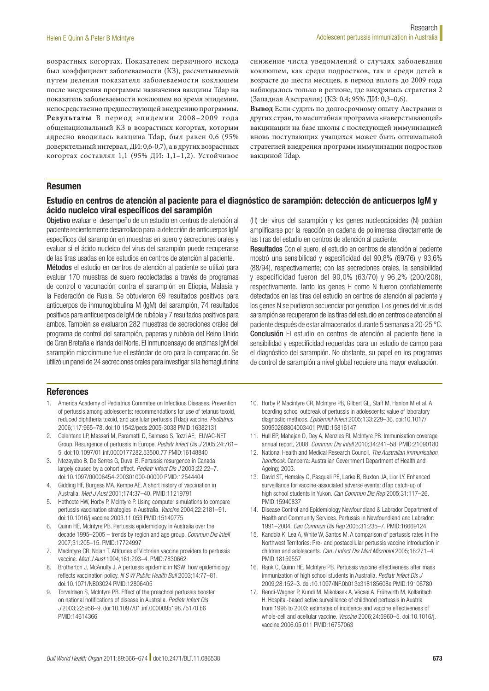возрастных когортах. Показателем первичного исхода был коэффициент заболеваемости (КЗ), рассчитываемый путем деления показателя заболеваемости коклюшем после внедрения программы назначения вакцины Tdap на показатель заболеваемости коклюшем во время эпидемии, непосредственно предшествующей внедрению программы. **Результаты** В период эпидемии 2008–2009 года общенациональный КЗ в возрастных когортах, которым адресно вводилась вакцина Tdap, был равен 0,6 (95% доверительный интервал, ДИ: 0,6-0,7), а в других возрастных когортах составлял 1,1 (95% ДИ: 1,1–1,2). Устойчивое

снижение числа уведомлений о случаях заболевания коклюшем, как среди подростков, так и среди детей в возрасте до шести месяцев, в период вплоть до 2009 года наблюдалось только в регионе, где внедрялась стратегия 2 (Западная Австралия) (КЗ: 0,4; 95% ДИ: 0,3–0,6).

**Вывод** Если судить по долгосрочному опыту Австралии и других стран, то масштабная программа «наверстывающей» вакцинации на базе школы с последующей иммунизацией вновь поступающих учащихся может быть оптимальной стратегией внедрения программ иммунизации подростков вакциной Tdap.

### Resumen

### Estudio en centros de atención al paciente para el diagnóstico de sarampión: detección de anticuerpos IgM y ácido nucleico viral específicos del sarampión

Objetivo evaluar el desempeño de un estudio en centros de atención al paciente recientemente desarrollado para la detección de anticuerpos IgM específicos del sarampión en muestras en suero y secreciones orales y evaluar si el ácido nucleico del virus del sarampión puede recuperarse de las tiras usadas en los estudios en centros de atención al paciente.

Métodos el estudio en centros de atención al paciente se utilizó para evaluar 170 muestras de suero recolectadas a través de programas de control o vacunación contra el sarampión en Etiopía, Malasia y la Federación de Rusia. Se obtuvieron 69 resultados positivos para anticuerpos de inmunoglobulina M (IgM) del sarampión, 74 resultados positivos para anticuerpos de IgM de rubéola y 7 resultados positivos para ambos. También se evaluaron 282 muestras de secreciones orales del programa de control del sarampión, paperas y rubéola del Reino Unido de Gran Bretaña e Irlanda del Norte. El inmunoensayo de enzimas IgM del sarampión microinmune fue el estándar de oro para la comparación. Se utilizó un panel de 24 secreciones orales para investigar si la hemaglutinina

(H) del virus del sarampión y los genes nucleocápsides (N) podrían amplificarse por la reacción en cadena de polimerasa directamente de las tiras del estudio en centros de atención al paciente.

Resultados Con el suero, el estudio en centros de atención al paciente mostró una sensibilidad y especificidad del 90,8% (69/76) y 93,6% (88/94), respectivamente; con las secreciones orales, la sensibilidad y especificidad fueron del 90,0% (63/70) y 96,2% (200/208), respectivamente. Tanto los genes H como N fueron confiablemente detectados en las tiras del estudio en centros de atención al paciente y los genes N se pudieron secuenciar por genotipo. Los genes del virus del sarampión se recuperaron de las tiras del estudio en centros de atención al paciente después de estar almacenados durante 5 semanas a 20-25 °C. Conclusión El estudio en centros de atención al paciente tiene la sensibilidad y especificidad requeridas para un estudio de campo para el diagnóstico del sarampión. No obstante, su papel en los programas de control de sarampión a nivel global requiere una mayor evaluación.

### **References**

- <span id="page-7-0"></span>1. America Academy of Pediatrics Commitee on Infectious Diseases. Prevention of pertussis among adolescents: recommendations for use of tetanus toxoid, reduced diphtheria toxoid, and acellular pertussis (Tdap) vaccine. *Pediatrics* 2006;117:965–78. doi:[10.1542/peds.2005-3038](http://dx.doi.org/10.1542/peds.2005-3038) PMID:[16382131](http://www.ncbi.nlm.nih.gov/pubmed/16382131)
- 2. Celentano LP, Massari M, Paramatti D, Salmaso S, Tozzi AE; EUVAC-NET Group. Resurgence of pertussis in Europe. *Pediatr Infect Dis J* 2005;24:761– 5. doi:[10.1097/01.inf.0000177282.53500.77](http://dx.doi.org/10.1097/01.inf.0000177282.53500.77) PMID[:16148840](http://www.ncbi.nlm.nih.gov/pubmed/16148840)
- <span id="page-7-1"></span>3. Ntezayabo B, De Serres G, Duval B. Pertussis resurgence in Canada largely caused by a cohort effect. *Pediatr Infect Dis J* 2003;22:22–7. doi[:10.1097/00006454-200301000-00009](http://dx.doi.org/10.1097/00006454-200301000-00009) PMID[:12544404](http://www.ncbi.nlm.nih.gov/pubmed/12544404)
- <span id="page-7-2"></span>4. Gidding HF, Burgess MA, Kempe AE. A short history of vaccination in Australia. *Med J Aust* 2001;174:37–40. PMID[:11219791](http://www.ncbi.nlm.nih.gov/pubmed/11219791)
- 5. Hethcote HW, Horby P, McIntyre P. Using computer simulations to compare pertussis vaccination strategies in Australia. *Vaccine* 2004;22:2181–91. doi[:10.1016/j.vaccine.2003.11.053](http://dx.doi.org/10.1016/j.vaccine.2003.11.053) PMID[:15149775](http://www.ncbi.nlm.nih.gov/pubmed/15149775)
- <span id="page-7-3"></span>6. Quinn HE, McIntyre PB. Pertussis epidemiology in Australia over the decade 1995–2005 – trends by region and age group. *Commun Dis Intell* 2007;31:205–15. PMID:[17724997](http://www.ncbi.nlm.nih.gov/pubmed/17724997)
- <span id="page-7-4"></span>7. MacIntyre CR, Nolan T. Attitudes of Victorian vaccine providers to pertussis vaccine. *Med J Aust* 1994;161:293–4. PMID[:7830662](http://www.ncbi.nlm.nih.gov/pubmed/7830662)
- <span id="page-7-5"></span>8. Brotherton J, McAnulty J. A pertussis epidemic in NSW: how epidemiology reflects vaccination policy. *N S W Public Health Bull* 2003;14:77–81. doi[:10.1071/NB03024](http://dx.doi.org/10.1071/NB03024) PMID:[12806405](http://www.ncbi.nlm.nih.gov/pubmed/12806405)
- <span id="page-7-6"></span>9. Torvaldsen S, McIntyre PB. Effect of the preschool pertussis booster on national notifications of disease in Australia. *Pediatr Infect Dis J* 2003;22:956–9. doi[:10.1097/01.inf.0000095198.75170.b6](http://dx.doi.org/10.1097/01.inf.0000095198.75170.b6)  PMID:[14614366](http://www.ncbi.nlm.nih.gov/pubmed/14614366)
- <span id="page-7-7"></span>10. Horby P, Macintyre CR, McIntyre PB, Gilbert GL, Staff M, Hanlon M et al. A boarding school outbreak of pertussis in adolescents: value of laboratory diagnostic methods. *Epidemiol Infect* 2005;133:229–36. doi[:10.1017/](http://dx.doi.org/10.1017/S0950268804003401) [S0950268804003401](http://dx.doi.org/10.1017/S0950268804003401) PMID[:15816147](http://www.ncbi.nlm.nih.gov/pubmed/15816147)
- <span id="page-7-8"></span>11. Hull BP, Mahajan D, Dey A, Menzies RI, McIntyre PB. Immunisation coverage annual report, 2008. *Commun Dis Intell* 2010;34:241–58. PMID[:21090180](http://www.ncbi.nlm.nih.gov/pubmed/21090180)
- <span id="page-7-9"></span>12. National Health and Medical Research Council. *The Australian immunisation handbook*. Canberra: Australian Government Department of Health and Ageing; 2003.
- <span id="page-7-10"></span>13. David ST, Hemsley C, Pasquali PE, Larke B, Buxton JA, Lior LY. Enhanced surveillance for vaccine-associated adverse events: dTap catch-up of high school students in Yukon. *Can Commun Dis Rep* 2005;31:117–26. PMID:[15940837](http://www.ncbi.nlm.nih.gov/pubmed/15940837)
- 14. Disease Control and Epidemiology Newfoundland & Labrador Department of Health and Community Services. Pertussis in Newfoundland and Labrador: 1991–2004. *Can Commun Dis Rep* 2005;31:235–7. PMID[:16669124](http://www.ncbi.nlm.nih.gov/pubmed/16669124)
- <span id="page-7-12"></span>15. Kandola K, Lea A, White W, Santos M. A comparison of pertussis rates in the Northwest Territories: Pre- and postacellular pertussis vaccine introduction in children and adolescents. *Can J Infect Dis Med Microbiol* 2005;16:271–4. PMID:[18159557](http://www.ncbi.nlm.nih.gov/pubmed/18159557)
- <span id="page-7-13"></span>16. Rank C, Quinn HE, McIntyre PB. Pertussis vaccine effectiveness after mass immunization of high school students in Australia. *Pediatr Infect Dis J* 2009;28:152–3. doi[:10.1097/INF.0b013e318185608e](http://dx.doi.org/10.1097/INF.0b013e318185608e) PMID:[19106780](http://www.ncbi.nlm.nih.gov/pubmed/19106780)
- <span id="page-7-11"></span>17. Rendi-Wagner P, Kundi M, Mikolasek A, Vécsei A, Frühwirth M, Kollaritsch H. Hospital-based active surveillance of childhood pertussis in Austria from 1996 to 2003: estimates of incidence and vaccine effectiveness of whole-cell and acellular vaccine. *Vaccine* 2006;24:5960–5. doi[:10.1016/j.](http://dx.doi.org/10.1016/j.vaccine.2006.05.011) [vaccine.2006.05.011](http://dx.doi.org/10.1016/j.vaccine.2006.05.011) PMID[:16757063](http://www.ncbi.nlm.nih.gov/pubmed/16757063)